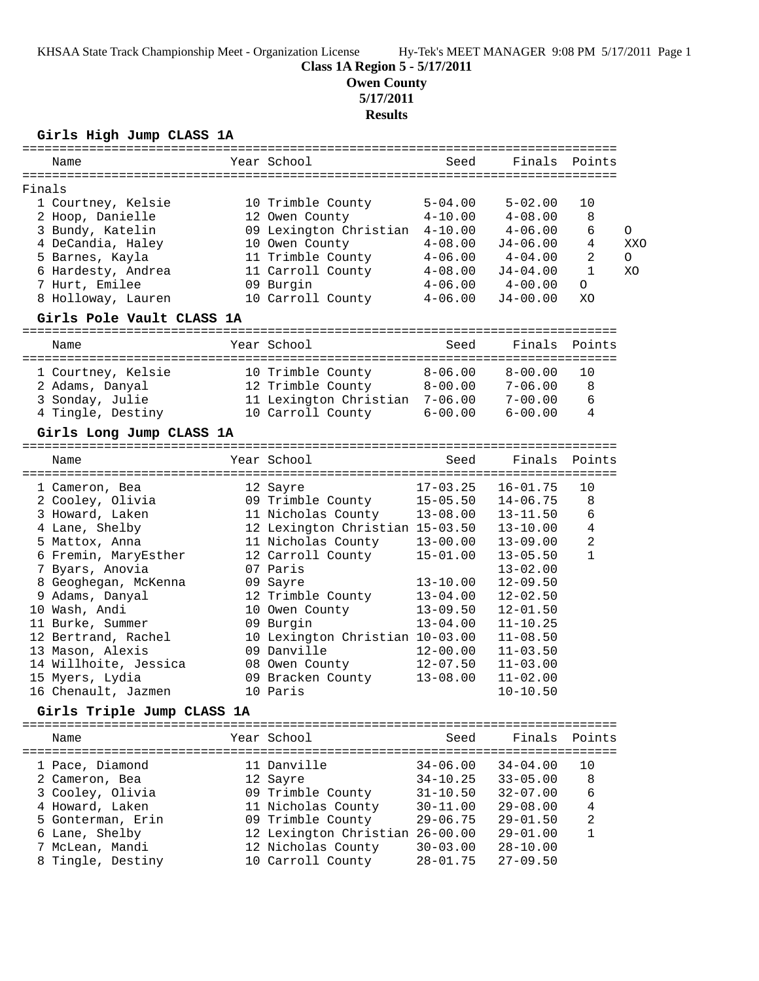# **Class 1A Region 5 - 5/17/2011**

**Owen County**

**5/17/2011**

# **Results**

**Girls High Jump CLASS 1A**

|        |                            |          | Year School                                                          |                                                   | Seed Finals Points                 |                |     |
|--------|----------------------------|----------|----------------------------------------------------------------------|---------------------------------------------------|------------------------------------|----------------|-----|
| Name   |                            |          |                                                                      |                                                   |                                    |                |     |
| Finals |                            |          |                                                                      |                                                   |                                    |                |     |
|        | 1 Courtney, Kelsie         |          | 10 Trimble County                                                    | $5 - 04.00$                                       | $5 - 02.00$                        | 10             |     |
|        | 2 Hoop, Danielle           |          | 12 Owen County                                                       | $4 - 10.00$                                       | $4 - 08.00$                        | 8              |     |
|        | 3 Bundy, Katelin           |          | 09 Lexington Christian 4-10.00                                       |                                                   | $4 - 06.00$                        | 6              | 0   |
|        | 4 DeCandia, Haley          |          | 10 Owen County                                                       | $4\negmedspace-\negmedspace08\negmedspace$ . $00$ | J4-06.00                           | 4              | XXO |
|        | 5 Barnes, Kayla            |          | 11 Trimble County                                                    | 4-06.00                                           | $4 - 04.00$                        | 2              | O   |
|        | 6 Hardesty, Andrea         |          | 11 Carroll County                                                    |                                                   | $4-08.00$ $J4-04.00$               | $\mathbf 1$    | XO  |
|        | 7 Hurt, Emilee             |          | 09 Burgin                                                            | 4-06.00                                           | $4 - 00.00$                        | $\circ$        |     |
|        | 8 Holloway, Lauren         |          | 10 Carroll County 4-06.00                                            |                                                   | $J4-00.00$                         | XO             |     |
|        | Girls Pole Vault CLASS 1A  |          |                                                                      |                                                   |                                    |                |     |
| Name   |                            |          | Year School                                                          | Seed                                              | Finals                             | Points         |     |
|        |                            |          |                                                                      |                                                   |                                    |                |     |
|        | 1 Courtney, Kelsie         |          | 10 Trimble County                                                    | $8 - 06.00$                                       | $8 - 00.00$                        | 10             |     |
|        | 2 Adams, Danyal            |          | 12 Trimble County         8-00.00<br>11 Lexington Christian  7-06.00 |                                                   | 8-00.00 7-06.00<br>7-06.00 7-00.00 | 8              |     |
|        | 3 Sonday, Julie            |          |                                                                      |                                                   | 7-00.00                            | 6              |     |
|        | 4 Tingle, Destiny          |          | 10 Carroll County 6-00.00                                            |                                                   | $6 - 00.00$                        | 4              |     |
|        | Girls Long Jump CLASS 1A   |          |                                                                      |                                                   |                                    |                |     |
| Name   |                            |          | Year School                                                          |                                                   | Seed Finals Points                 |                |     |
|        |                            |          |                                                                      |                                                   |                                    |                |     |
|        | 1 Cameron, Bea             | 12 Sayre |                                                                      |                                                   | $17-03.25$ $16-01.75$              | 10             |     |
|        | 2 Cooley, Olivia           |          | 09 Trimble County 15-05.50 14-06.75                                  |                                                   |                                    | 8              |     |
|        | 3 Howard, Laken            |          | 11 Nicholas County 13-08.00 13-11.50                                 |                                                   |                                    | 6              |     |
|        | 4 Lane, Shelby             |          | 12 Lexington Christian 15-03.50 13-10.00                             |                                                   |                                    | $\overline{4}$ |     |
|        | 5 Mattox, Anna             |          |                                                                      |                                                   | $13 - 09.00$                       | $\overline{2}$ |     |
|        | 6 Fremin, MaryEsther       |          | 11 Nicholas County 13-00.00<br>12 Carroll County 15-01.00            |                                                   | $13 - 05.50$                       | $\mathbf{1}$   |     |
|        | 7 Byars, Anovia            |          | 07 Paris                                                             |                                                   | $13 - 02.00$                       |                |     |
|        | 8 Geoghegan, McKenna       |          | 09 Sayre                                                             | $13 - 10.00$                                      | $12 - 09.50$                       |                |     |
|        | 9 Adams, Danyal            |          | 12 Trimble County                                                    | 13-04.00                                          | $12 - 02.50$                       |                |     |
|        | 10 Wash, Andi              |          | 10 Owen County                                                       | $13 - 09.50$                                      | $12 - 01.50$                       |                |     |
|        | 11 Burke, Summer           |          | 09 Burgin                                                            | $13 - 04.00$                                      | $11 - 10.25$                       |                |     |
|        | 12 Bertrand, Rachel        |          | 10 Lexington Christian 10-03.00                                      |                                                   | $11 - 08.50$                       |                |     |
|        | 13 Mason, Alexis           |          | 09 Danville                                                          | 12-00.00                                          | $11 - 03.50$                       |                |     |
|        | 14 Willhoite, Jessica      |          | 08 Owen County                                                       | $12 - 07.50$                                      | $11 - 03.00$                       |                |     |
|        | 15 Myers, Lydia            |          | 09 Bracken County                                                    | $13 - 08.00$                                      | $11 - 02.00$                       |                |     |
|        | 16 Chenault, Jazmen        |          | 10 Paris                                                             |                                                   | $10 - 10.50$                       |                |     |
|        | Girls Triple Jump CLASS 1A |          |                                                                      |                                                   |                                    |                |     |
| Name   |                            |          | Year School                                                          | Seed                                              | Finals                             | Points         |     |
|        |                            |          |                                                                      |                                                   |                                    |                |     |
|        | 1 Pace, Diamond            |          | 11 Danville                                                          | $34 - 06.00$                                      | $34 - 04.00$                       | 10             |     |
|        | 2 Cameron, Bea             |          | 12 Sayre                                                             | $34 - 10.25$                                      | $33 - 05.00$                       | 8              |     |
|        | 3 Cooley, Olivia           |          | 09 Trimble County                                                    | $31 - 10.50$                                      | $32 - 07.00$                       | 6              |     |
|        | 4 Howard, Laken            |          | 11 Nicholas County                                                   | $30 - 11.00$                                      | $29 - 08.00$                       | 4              |     |
|        | 5 Gonterman, Erin          |          | 09 Trimble County                                                    | $29 - 06.75$                                      | $29 - 01.50$                       | 2              |     |
|        | 6 Lane, Shelby             |          | 12 Lexington Christian 26-00.00                                      |                                                   | $29 - 01.00$                       | $\mathbf{1}$   |     |
|        | 7 McLean, Mandi            |          | 12 Nicholas County                                                   | $30 - 03.00$                                      | $28 - 10.00$                       |                |     |
|        | 8 Tingle, Destiny          |          | 10 Carroll County                                                    | $28 - 01.75$                                      | $27 - 09.50$                       |                |     |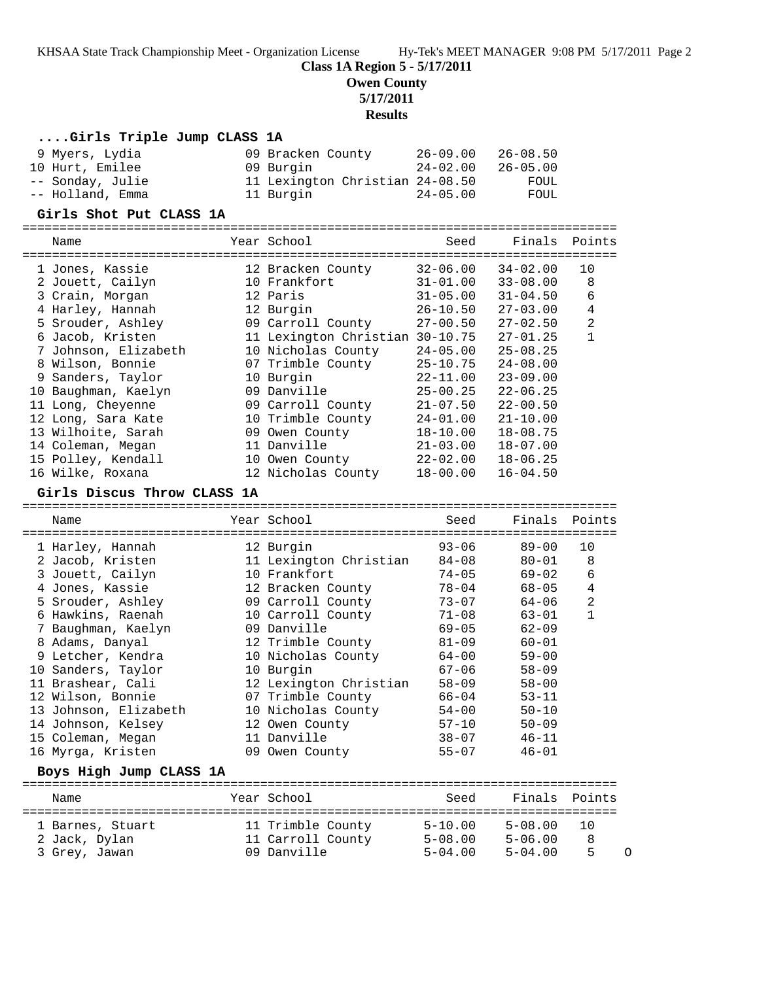**Class 1A Region 5 - 5/17/2011**

**Owen County**

**5/17/2011**

## **Results**

| Girls Triple Jump CLASS 1A                 |                                         |                              |                              |                |
|--------------------------------------------|-----------------------------------------|------------------------------|------------------------------|----------------|
| 9 Myers, Lydia                             | 09 Bracken County                       | $26 - 09.00$                 | $26 - 08.50$                 |                |
| 10 Hurt, Emilee                            | 09 Burgin                               | $24 - 02.00$                 | $26 - 05.00$                 |                |
| -- Sonday, Julie                           | 11 Lexington Christian 24-08.50         |                              | FOUL                         |                |
| -- Holland, Emma                           | 11 Burgin                               | $24 - 05.00$                 | FOUL                         |                |
| Girls Shot Put CLASS 1A                    |                                         |                              |                              |                |
| Name                                       | Year School                             | Seed                         | Finals                       | Points         |
|                                            |                                         |                              |                              |                |
| 1 Jones, Kassie                            | 12 Bracken County                       | $32 - 06.00$                 | $34 - 02.00$                 | 10             |
| 2 Jouett, Cailyn                           | 10 Frankfort                            | $31 - 01.00$                 | $33 - 08.00$                 | 8              |
| 3 Crain, Morgan                            | 12 Paris                                | $31 - 05.00$                 | $31 - 04.50$                 | 6              |
| 4 Harley, Hannah                           | 12 Burgin                               | $26 - 10.50$                 | $27 - 03.00$                 | 4              |
| 5 Srouder, Ashley                          | 09 Carroll County                       | $27 - 00.50$                 | $27 - 02.50$                 | 2              |
| 6 Jacob, Kristen                           | 11 Lexington Christian 30-10.75         |                              | $27 - 01.25$                 | $\mathbf{1}$   |
| 7 Johnson, Elizabeth                       | 10 Nicholas County                      | $24 - 05.00$                 | $25 - 08.25$                 |                |
| 8 Wilson, Bonnie                           | 07 Trimble County                       | $25 - 10.75$                 | $24 - 08.00$                 |                |
| 9 Sanders, Taylor                          | 10 Burgin                               | $22 - 11.00$                 | $23 - 09.00$                 |                |
| 10 Baughman, Kaelyn                        | 09 Danville                             | $25 - 00.25$                 | $22 - 06.25$                 |                |
| 11 Long, Cheyenne                          | 09 Carroll County                       | $21 - 07.50$                 | $22 - 00.50$                 |                |
| 12 Long, Sara Kate                         | 10 Trimble County                       | $24 - 01.00$                 | $21 - 10.00$                 |                |
| 13 Wilhoite, Sarah<br>14 Coleman, Megan    | 09 Owen County<br>11 Danville           | $18 - 10.00$<br>$21 - 03.00$ | $18 - 08.75$<br>$18 - 07.00$ |                |
| 15 Polley, Kendall                         | 10 Owen County                          | $22 - 02.00$                 | $18 - 06.25$                 |                |
| 16 Wilke, Roxana                           | 12 Nicholas County                      | $18 - 00.00$                 | $16 - 04.50$                 |                |
|                                            |                                         |                              |                              |                |
| Girls Discus Throw CLASS 1A                |                                         |                              |                              |                |
| Name                                       | Year School                             | Seed                         | Finals                       | Points         |
|                                            |                                         |                              |                              |                |
| 1 Harley, Hannah                           | 12 Burgin                               | $93 - 06$                    | $89 - 00$                    | 10             |
| 2 Jacob, Kristen                           | 11 Lexington Christian                  | $84 - 08$                    | 80-01                        | 8              |
| 3 Jouett, Cailyn                           | 10 Frankfort                            | $74 - 05$                    | $69 - 02$                    | 6              |
| 4 Jones, Kassie                            | 12 Bracken County                       | $78 - 04$                    | 68-05                        | 4              |
| 5 Srouder, Ashley                          | 09 Carroll County                       | $73 - 07$                    | 64-06                        | $\overline{2}$ |
| 6 Hawkins, Raenah                          | 10 Carroll County                       | $71 - 08$                    | 63-01                        | $\mathbf{1}$   |
| 7 Baughman, Kaelyn                         | 09 Danville                             | $69 - 05$                    | $62 - 09$                    |                |
| 8 Adams, Danyal                            | 12 Trimble County                       | $81 - 09$                    | $60 - 01$                    |                |
| 9 Letcher, Kendra                          | 10 Nicholas County                      | $64 - 00$                    | $59 - 00$                    |                |
| 10 Sanders, Taylor                         | 10 Burgin                               | $67 - 06$                    | $58 - 09$                    |                |
| 11 Brashear, Cali                          | 12 Lexington Christian                  | $58 - 09$                    | $58 - 00$<br>$53 - 11$       |                |
| 12 Wilson, Bonnie<br>13 Johnson, Elizabeth | 07 Trimble County<br>10 Nicholas County | $66 - 04$<br>$54 - 00$       | $50 - 10$                    |                |
| 14 Johnson, Kelsey                         | 12 Owen County                          | $57 - 10$                    | $50 - 09$                    |                |
| 15 Coleman, Megan                          | 11 Danville                             | $38 - 07$                    | $46 - 11$                    |                |
| 16 Myrga, Kristen                          | 09 Owen County                          | $55 - 07$                    | $46 - 01$                    |                |
| Boys High Jump CLASS 1A                    |                                         |                              |                              |                |
|                                            |                                         |                              |                              |                |
| Name                                       | Year School                             | Seed                         | Finals                       | Points         |
| 1 Barnes, Stuart                           | 11 Trimble County                       | $5 - 10.00$                  | $5 - 08.00$                  | 10             |
| 2 Jack, Dylan                              | 11 Carroll County                       | $5 - 08.00$                  | $5 - 06.00$                  | 8              |
| 3 Grey, Jawan                              | 09 Danville                             | $5 - 04.00$                  | $5 - 04.00$                  | 5<br>O         |
|                                            |                                         |                              |                              |                |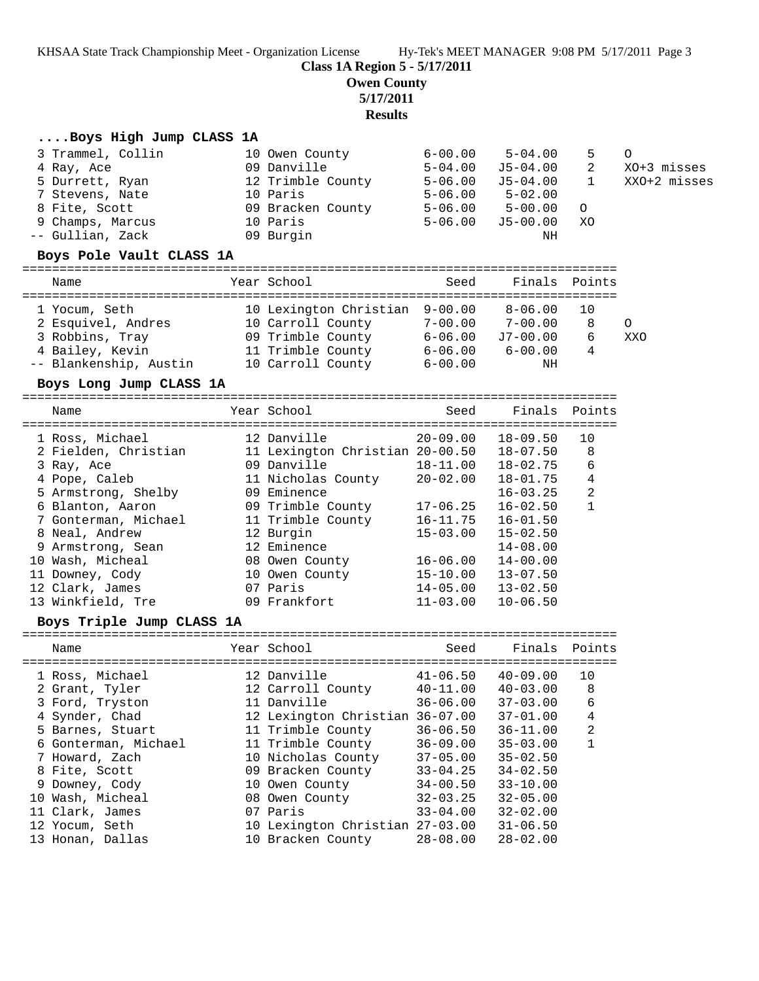**Class 1A Region 5 - 5/17/2011**

**Owen County**

**5/17/2011**

**Results**

### **....Boys High Jump CLASS 1A**

| 3 Trammel, Collin        | 10 Owen County                                       | $6 - 00.00$ | $5 - 04.00$   | 5        | $\Omega$     |
|--------------------------|------------------------------------------------------|-------------|---------------|----------|--------------|
| 4 Ray, Ace               | 09 Danville                                          | $5 - 04.00$ | J5-04.00      | 2        | XO+3 misses  |
| 5 Durrett, Ryan          | 12 Trimble County                                    | $5 - 06.00$ | J5-04.00      |          | XXO+2 misses |
| 7 Stevens, Nate          | 10 Paris                                             | $5 - 06.00$ | $5 - 02.00$   |          |              |
| 8 Fite, Scott            | 09 Bracken County                                    | $5 - 06.00$ | $5 - 00.00$   | $\Omega$ |              |
| 9 Champs, Marcus         | 10 Paris                                             | $5 - 06.00$ | $J5-00.00$    | XO       |              |
| -- Gullian, Zack         | 09 Burgin                                            |             | ΝH            |          |              |
| Boys Pole Vault CLASS 1A |                                                      |             |               |          |              |
| Name                     | Year School                                          | Seed        | Finals Points |          |              |
|                          | مهم ممدد ممدد اللباسا عمه التالية المسافيات المستحدة |             |               |          |              |

| 1 Yocum, Seth          | 10 Lexington Christian 9-00.00 |             | $8 - 06.00$ | 10 |     |
|------------------------|--------------------------------|-------------|-------------|----|-----|
| 2 Esquivel, Andres     | 10 Carroll County              | $7 - 00.00$ | $7 - 00.00$ | 8  |     |
| 3 Robbins, Tray        | 09 Trimble County              | $6 - 06.00$ | J7-00.00    | 6  | XXO |
| 4 Bailey, Kevin        | 11 Trimble County              | $6 - 06.00$ | $6 - 00.00$ |    |     |
| -- Blankenship, Austin | 10 Carroll County              | $6 - 00.00$ | ΝH          |    |     |

#### **Boys Long Jump CLASS 1A**

================================================================================ Name  $Year School$  Seed Finals Points

| 1 Ross, Michael      | 12 Danville                     | $20 - 09.00$ | $18 - 09.50$ | 10             |
|----------------------|---------------------------------|--------------|--------------|----------------|
| 2 Fielden, Christian | 11 Lexington Christian 20-00.50 |              | $18 - 07.50$ | 8              |
| 3 Ray, Ace           | 09 Danville                     | $18 - 11.00$ | $18 - 02.75$ | 6              |
| 4 Pope, Caleb        | 11 Nicholas County              | $20 - 02.00$ | $18 - 01.75$ | 4              |
| 5 Armstrong, Shelby  | 09 Eminence                     |              | $16 - 03.25$ | $\overline{2}$ |
| 6 Blanton, Aaron     | 09 Trimble County               | $17 - 06.25$ | $16 - 02.50$ |                |
| 7 Gonterman, Michael | 11 Trimble County               | 16-11.75     | $16 - 01.50$ |                |
| 8 Neal, Andrew       | 12 Burgin                       | $15 - 03.00$ | $15 - 02.50$ |                |
| 9 Armstrong, Sean    | 12 Eminence                     |              | $14 - 08.00$ |                |
| 10 Wash, Micheal     | 08 Owen County                  | $16 - 06.00$ | $14 - 00.00$ |                |
| 11 Downey, Cody      | 10 Owen County                  | $15 - 10.00$ | $13 - 07.50$ |                |
| 12 Clark, James      | 07 Paris                        | $14 - 05.00$ | $13 - 02.50$ |                |
| 13 Winkfield, Tre    | 09 Frankfort                    | $11 - 03.00$ | $10 - 06.50$ |                |
|                      |                                 |              |              |                |

### **Boys Triple Jump CLASS 1A**

| Name                 | Year School                     | Seed         | Finals Points |    |
|----------------------|---------------------------------|--------------|---------------|----|
| 1 Ross, Michael      | 12 Danville                     | 41-06.50     | $40 - 09.00$  | 10 |
| 2 Grant, Tyler       | 12 Carroll County               | $40 - 11.00$ | $40 - 03.00$  | 8  |
| 3 Ford, Tryston      | 11 Danville                     | $36 - 06.00$ | $37 - 03.00$  | 6  |
| 4 Synder, Chad       | 12 Lexington Christian 36-07.00 |              | $37 - 01.00$  | 4  |
| 5 Barnes, Stuart     | 11 Trimble County               | $36 - 06.50$ | $36 - 11.00$  | 2  |
| 6 Gonterman, Michael | 11 Trimble County               | $36 - 09.00$ | $35 - 03.00$  |    |
| 7 Howard, Zach       | 10 Nicholas County              | $37 - 05.00$ | $35 - 02.50$  |    |
| 8 Fite, Scott        | 09 Bracken County               | $33 - 04.25$ | $34 - 02.50$  |    |
| 9 Downey, Cody       | 10 Owen County                  | $34 - 00.50$ | $33 - 10.00$  |    |
| 10 Wash, Micheal     | 08 Owen County                  | $32 - 03.25$ | $32 - 05.00$  |    |
| 11 Clark, James      | 07 Paris                        | $33 - 04.00$ | $32 - 02.00$  |    |
| 12 Yocum, Seth       | 10 Lexington Christian 27-03.00 |              | $31 - 06.50$  |    |
| 13 Honan, Dallas     | 10 Bracken County               | $28 - 08.00$ | $28 - 02.00$  |    |